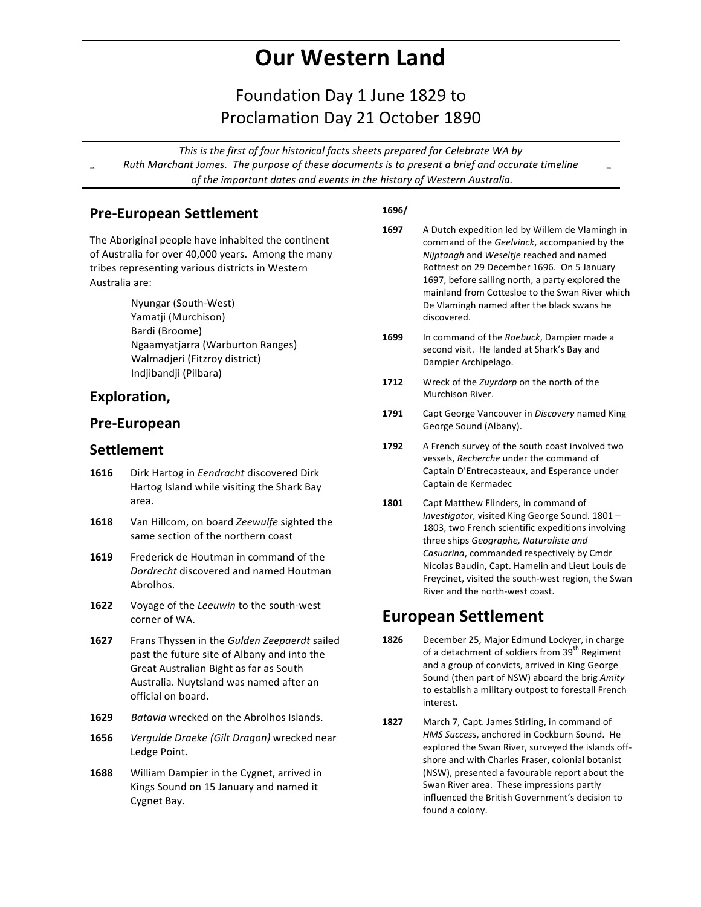# **Our Western Land**

### Foundation Day 1 June 1829 to Proclamation Day 21 October 1890

This is the first of four historical facts sheets prepared for Celebrate WA by Ruth Marchant James. The purpose of these documents is to present a brief and accurate timeline of the important dates and events in the history of Western Australia.

#### **Pre-European Settlement**

The Aboriginal people have inhabited the continent of Australia for over 40,000 years. Among the many tribes representing various districts in Western Australia are:

> Nyungar (South-West) Yamatji (Murchison) Bardi (Broome) Ngaamyatjarra (Warburton Ranges) Walmadjeri (Fitzroy district) Indjibandji (Pilbara)

#### **Exploration,**

#### **Pre-European**

#### **Settlement**

- 1616 Dirk Hartog in *Eendracht* discovered Dirk Hartog Island while visiting the Shark Bay area.
- **1618** Van Hillcom, on board Zeewulfe sighted the same section of the northern coast
- **1619** Frederick de Houtman in command of the *Dordrecht* discovered and named Houtman Abrolhos.
- **1622** Voyage of the *Leeuwin* to the south-west corner of WA.
- **1627** Frans Thyssen in the *Gulden Zeepaerdt* sailed past the future site of Albany and into the Great Australian Bight as far as South Australia. Nuytsland was named after an official on board.
- **1629** *Batavia* wrecked on the Abrolhos Islands.
- **1656** *Vergulde Draeke (Gilt Dragon)* wrecked near Ledge Point.
- **1688** William Dampier in the Cygnet, arrived in Kings Sound on 15 January and named it Cygnet Bay.

#### **1696/**

- **1697** A Dutch expedition led by Willem de Vlamingh in command of the *Geelvinck*, accompanied by the *Nijptangh* and *Weseltje* reached and named Rottnest on 29 December 1696. On 5 January 1697, before sailing north, a party explored the mainland from Cottesloe to the Swan River which De Vlamingh named after the black swans he discovered.
- **1699** In command of the *Roebuck*, Dampier made a second visit. He landed at Shark's Bay and Dampier Archipelago.
- **1712** Wreck of the *Zuyrdorp* on the north of the Murchison River.
- **1791** Capt George Vancouver in *Discovery* named King George Sound (Albany).
- **1792** A French survey of the south coast involved two vessels, *Recherche* under the command of Captain D'Entrecasteaux, and Esperance under Captain de Kermadec
- 1801 Capt Matthew Flinders, in command of Investigator, visited King George Sound. 1801 -1803, two French scientific expeditions involving three ships *Geographe*, Naturaliste and Casuarina, commanded respectively by Cmdr Nicolas Baudin, Capt. Hamelin and Lieut Louis de Freycinet, visited the south-west region, the Swan River and the north-west coast.

#### **European Settlement**

- **1826** December 25, Major Edmund Lockyer, in charge of a detachment of soldiers from 39<sup>th</sup> Regiment and a group of convicts, arrived in King George Sound (then part of NSW) aboard the brig Amity to establish a military outpost to forestall French interest.
- **1827** March 7, Capt. James Stirling, in command of HMS Success, anchored in Cockburn Sound. He explored the Swan River, surveyed the islands offshore and with Charles Fraser, colonial botanist (NSW), presented a favourable report about the Swan River area. These impressions partly influenced the British Government's decision to found a colony.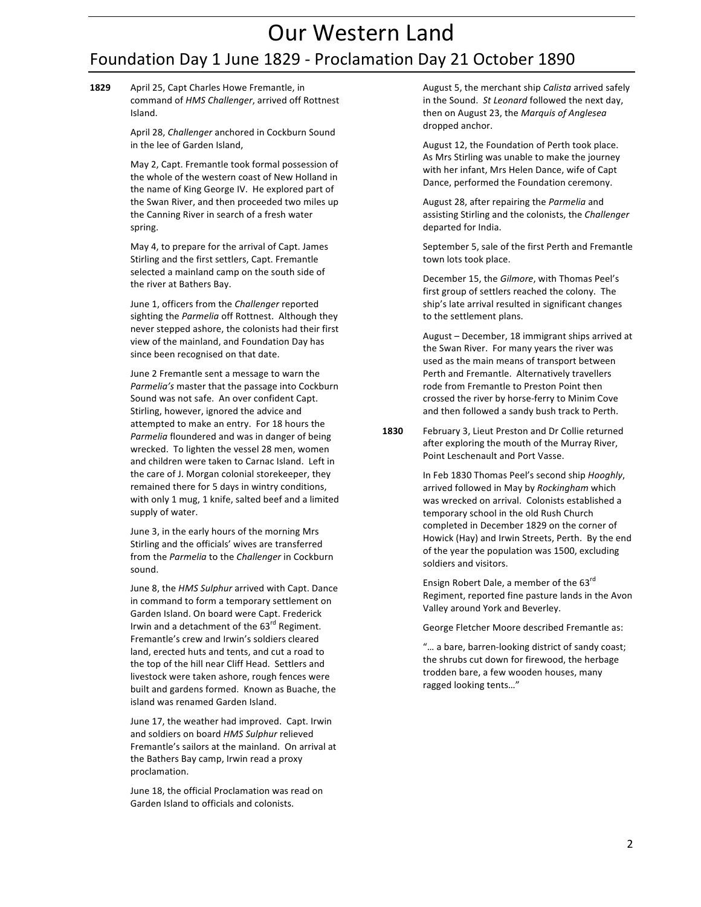## Our Western Land Foundation Day 1 June 1829 - Proclamation Day 21 October 1890

1829 April 25, Capt Charles Howe Fremantle, in command of *HMS Challenger*, arrived off Rottnest Island.

> April 28, *Challenger* anchored in Cockburn Sound in the lee of Garden Island,

May 2, Capt. Fremantle took formal possession of the whole of the western coast of New Holland in the name of King George IV. He explored part of the Swan River, and then proceeded two miles up the Canning River in search of a fresh water spring.

May 4, to prepare for the arrival of Capt. James Stirling and the first settlers, Capt. Fremantle selected a mainland camp on the south side of the river at Bathers Bay.

June 1, officers from the *Challenger* reported sighting the *Parmelia* off Rottnest. Although they never stepped ashore, the colonists had their first view of the mainland, and Foundation Day has since been recognised on that date.

June 2 Fremantle sent a message to warn the Parmelia's master that the passage into Cockburn Sound was not safe. An over confident Capt. Stirling, however, ignored the advice and attempted to make an entry. For 18 hours the Parmelia floundered and was in danger of being wrecked. To lighten the vessel 28 men, women and children were taken to Carnac Island. Left in the care of J. Morgan colonial storekeeper, they remained there for 5 days in wintry conditions, with only 1 mug, 1 knife, salted beef and a limited supply of water.

June 3, in the early hours of the morning Mrs Stirling and the officials' wives are transferred from the *Parmelia* to the *Challenger* in Cockburn sound.

June 8, the *HMS Sulphur* arrived with Capt. Dance in command to form a temporary settlement on Garden Island. On board were Capt. Frederick Irwin and a detachment of the 63<sup>rd</sup> Regiment. Fremantle's crew and Irwin's soldiers cleared land, erected huts and tents, and cut a road to the top of the hill near Cliff Head. Settlers and livestock were taken ashore, rough fences were built and gardens formed. Known as Buache, the island was renamed Garden Island.

June 17, the weather had improved. Capt. Irwin and soldiers on board HMS Sulphur relieved Fremantle's sailors at the mainland. On arrival at the Bathers Bay camp, Irwin read a proxy proclamation.

June 18, the official Proclamation was read on Garden Island to officials and colonists.

August 5, the merchant ship *Calista* arrived safely in the Sound. St Leonard followed the next day, then on August 23, the Marquis of Anglesea dropped anchor.

August 12, the Foundation of Perth took place. As Mrs Stirling was unable to make the journey with her infant, Mrs Helen Dance, wife of Capt Dance, performed the Foundation ceremony.

August 28, after repairing the *Parmelia* and assisting Stirling and the colonists, the *Challenger* departed for India.

September 5, sale of the first Perth and Fremantle town lots took place.

December 15, the *Gilmore*, with Thomas Peel's first group of settlers reached the colony. The ship's late arrival resulted in significant changes to the settlement plans.

August – December, 18 immigrant ships arrived at the Swan River. For many years the river was used as the main means of transport between Perth and Fremantle. Alternatively travellers rode from Fremantle to Preston Point then crossed the river by horse-ferry to Minim Cove and then followed a sandy bush track to Perth.

**1830** February 3, Lieut Preston and Dr Collie returned after exploring the mouth of the Murray River, Point Leschenault and Port Vasse.

> In Feb 1830 Thomas Peel's second ship *Hooghly*, arrived followed in May by Rockingham which was wrecked on arrival. Colonists established a temporary school in the old Rush Church completed in December 1829 on the corner of Howick (Hay) and Irwin Streets, Perth. By the end of the year the population was 1500, excluding soldiers and visitors.

> Ensign Robert Dale, a member of the  $63<sup>rd</sup>$ Regiment, reported fine pasture lands in the Avon Valley around York and Beverley.

George Fletcher Moore described Fremantle as:

"... a bare, barren-looking district of sandy coast; the shrubs cut down for firewood, the herbage trodden bare, a few wooden houses, many ragged looking tents..."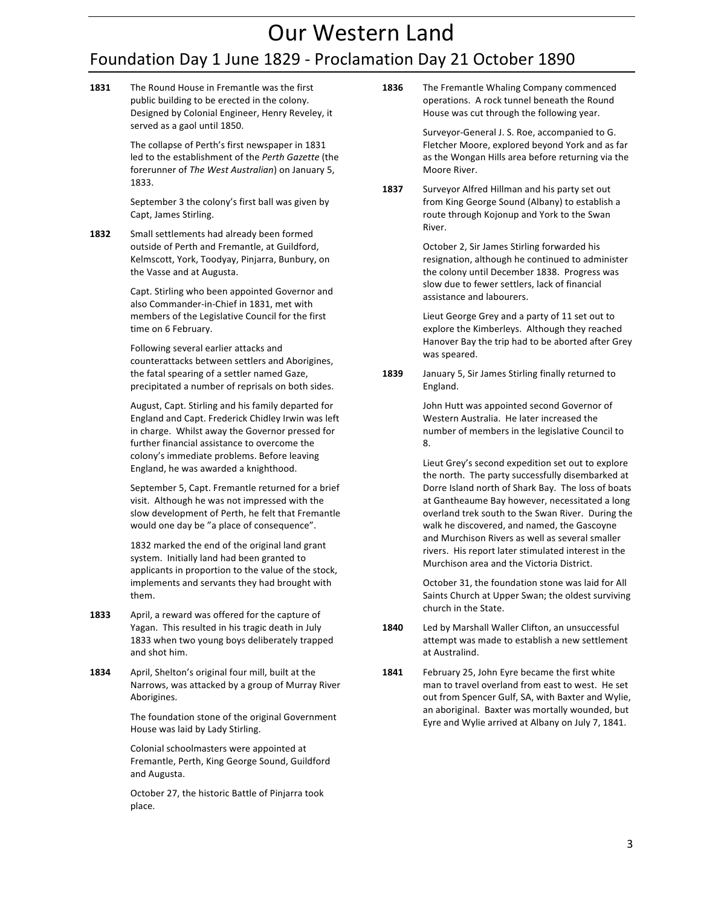# Our Western Land

## Foundation Day 1 June 1829 - Proclamation Day 21 October 1890

**1831** The Round House in Fremantle was the first public building to be erected in the colony. Designed by Colonial Engineer, Henry Reveley, it served as a gaol until 1850.

> The collapse of Perth's first newspaper in 1831 led to the establishment of the Perth Gazette (the forerunner of The West Australian) on January 5, 1833.

September 3 the colony's first ball was given by Capt, James Stirling.

**1832** Small settlements had already been formed outside of Perth and Fremantle, at Guildford, Kelmscott, York, Toodyay, Pinjarra, Bunbury, on the Vasse and at Augusta.

> Capt. Stirling who been appointed Governor and also Commander-in-Chief in 1831, met with members of the Legislative Council for the first time on 6 February.

> Following several earlier attacks and counterattacks between settlers and Aborigines, the fatal spearing of a settler named Gaze, precipitated a number of reprisals on both sides.

August, Capt. Stirling and his family departed for England and Capt. Frederick Chidley Irwin was left in charge. Whilst away the Governor pressed for further financial assistance to overcome the colony's immediate problems. Before leaving England, he was awarded a knighthood.

September 5, Capt. Fremantle returned for a brief visit. Although he was not impressed with the slow development of Perth, he felt that Fremantle would one day be "a place of consequence".

1832 marked the end of the original land grant system. Initially land had been granted to applicants in proportion to the value of the stock, implements and servants they had brought with them.

- **1833** April, a reward was offered for the capture of Yagan. This resulted in his tragic death in July 1833 when two young boys deliberately trapped and shot him.
- **1834** April, Shelton's original four mill, built at the Narrows, was attacked by a group of Murray River Aborigines.

The foundation stone of the original Government House was laid by Lady Stirling.

Colonial schoolmasters were appointed at Fremantle, Perth, King George Sound, Guildford and Augusta.

October 27, the historic Battle of Pinjarra took place.

**1836** The Fremantle Whaling Company commenced operations. A rock tunnel beneath the Round House was cut through the following year.

> Surveyor-General J. S. Roe, accompanied to G. Fletcher Moore, explored beyond York and as far as the Wongan Hills area before returning via the Moore River.

**1837** Surveyor Alfred Hillman and his party set out from King George Sound (Albany) to establish a route through Kojonup and York to the Swan River.

> October 2, Sir James Stirling forwarded his resignation, although he continued to administer the colony until December 1838. Progress was slow due to fewer settlers, lack of financial assistance and labourers.

Lieut George Grey and a party of 11 set out to explore the Kimberleys. Although they reached Hanover Bay the trip had to be aborted after Grey was speared.

**1839** January 5, Sir James Stirling finally returned to England.

> John Hutt was appointed second Governor of Western Australia. He later increased the number of members in the legislative Council to 8.

Lieut Grey's second expedition set out to explore the north. The party successfully disembarked at Dorre Island north of Shark Bay. The loss of boats at Gantheaume Bay however, necessitated a long overland trek south to the Swan River. During the walk he discovered, and named, the Gascoyne and Murchison Rivers as well as several smaller rivers. His report later stimulated interest in the Murchison area and the Victoria District.

October 31, the foundation stone was laid for All Saints Church at Upper Swan; the oldest surviving church in the State.

- **1840** Led by Marshall Waller Clifton, an unsuccessful attempt was made to establish a new settlement at Australind.
- **1841** February 25, John Eyre became the first white man to travel overland from east to west. He set out from Spencer Gulf, SA, with Baxter and Wylie, an aboriginal. Baxter was mortally wounded, but Eyre and Wylie arrived at Albany on July 7, 1841.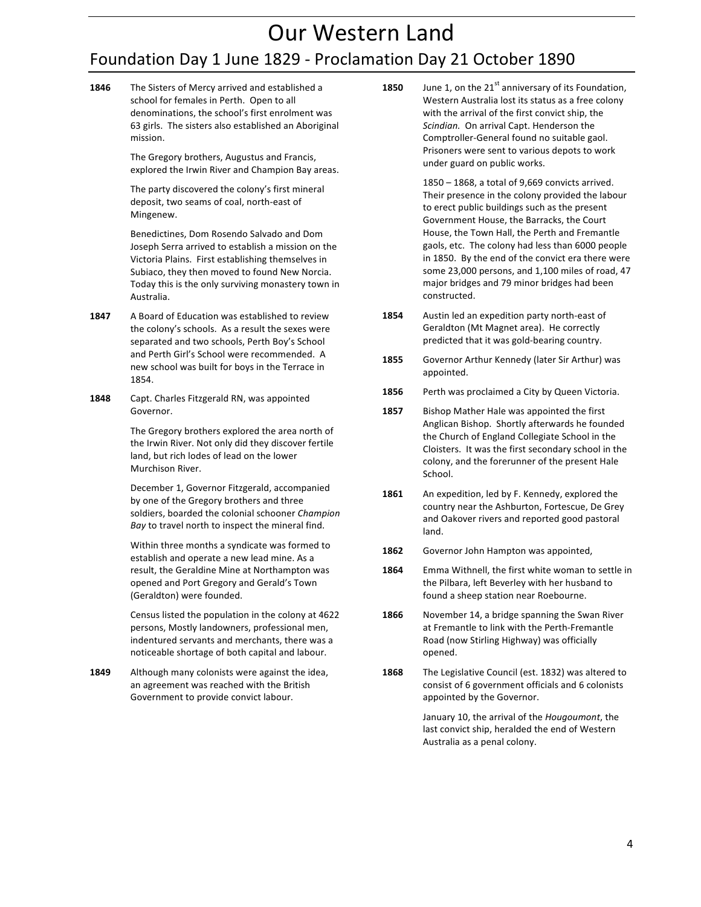# Our Western Land

## Foundation Day 1 June 1829 - Proclamation Day 21 October 1890

**1846** The Sisters of Mercy arrived and established a school for females in Perth. Open to all denominations, the school's first enrolment was 63 girls. The sisters also established an Aboriginal mission.

> The Gregory brothers, Augustus and Francis, explored the Irwin River and Champion Bay areas.

The party discovered the colony's first mineral deposit, two seams of coal, north-east of Mingenew.

Benedictines, Dom Rosendo Salvado and Dom Joseph Serra arrived to establish a mission on the Victoria Plains. First establishing themselves in Subiaco, they then moved to found New Norcia. Today this is the only surviving monastery town in Australia.

- **1847** A Board of Education was established to review the colony's schools. As a result the sexes were separated and two schools, Perth Boy's School and Perth Girl's School were recommended. A new school was built for boys in the Terrace in 1854.
- 1848 Capt. Charles Fitzgerald RN, was appointed Governor.

The Gregory brothers explored the area north of the Irwin River. Not only did they discover fertile land, but rich lodes of lead on the lower Murchison River.

December 1, Governor Fitzgerald, accompanied by one of the Gregory brothers and three soldiers, boarded the colonial schooner *Champion* Bay to travel north to inspect the mineral find.

Within three months a syndicate was formed to establish and operate a new lead mine. As a result, the Geraldine Mine at Northampton was opened and Port Gregory and Gerald's Town (Geraldton) were founded.

Census listed the population in the colony at 4622 persons, Mostly landowners, professional men, indentured servants and merchants, there was a noticeable shortage of both capital and labour.

**1849** Although many colonists were against the idea, an agreement was reached with the British Government to provide convict labour.

**1850** June 1, on the 21<sup>st</sup> anniversary of its Foundation, Western Australia lost its status as a free colony with the arrival of the first convict ship, the Scindian. On arrival Capt. Henderson the Comptroller-General found no suitable gaol. Prisoners were sent to various depots to work under guard on public works.

> $1850 - 1868$ , a total of 9,669 convicts arrived. Their presence in the colony provided the labour to erect public buildings such as the present Government House, the Barracks, the Court House, the Town Hall, the Perth and Fremantle gaols, etc. The colony had less than 6000 people in 1850. By the end of the convict era there were some 23,000 persons, and 1,100 miles of road, 47 major bridges and 79 minor bridges had been constructed.

- **1854** Austin led an expedition party north-east of Geraldton (Mt Magnet area). He correctly predicted that it was gold-bearing country.
- **1855** Governor Arthur Kennedy (later Sir Arthur) was appointed.
- **1856** Perth was proclaimed a City by Queen Victoria.
- **1857** Bishop Mather Hale was appointed the first Anglican Bishop. Shortly afterwards he founded the Church of England Collegiate School in the Cloisters. It was the first secondary school in the colony, and the forerunner of the present Hale School.
- 1861 An expedition, led by F. Kennedy, explored the country near the Ashburton, Fortescue, De Grey and Oakover rivers and reported good pastoral land.
- **1862** Governor John Hampton was appointed,
- **1864** Emma Withnell, the first white woman to settle in the Pilbara, left Beverley with her husband to found a sheep station near Roebourne.
- **1866** November 14, a bridge spanning the Swan River at Fremantle to link with the Perth-Fremantle Road (now Stirling Highway) was officially opened.
- 1868 The Legislative Council (est. 1832) was altered to consist of 6 government officials and 6 colonists appointed by the Governor.

January 10, the arrival of the *Hougoumont*, the last convict ship, heralded the end of Western Australia as a penal colony.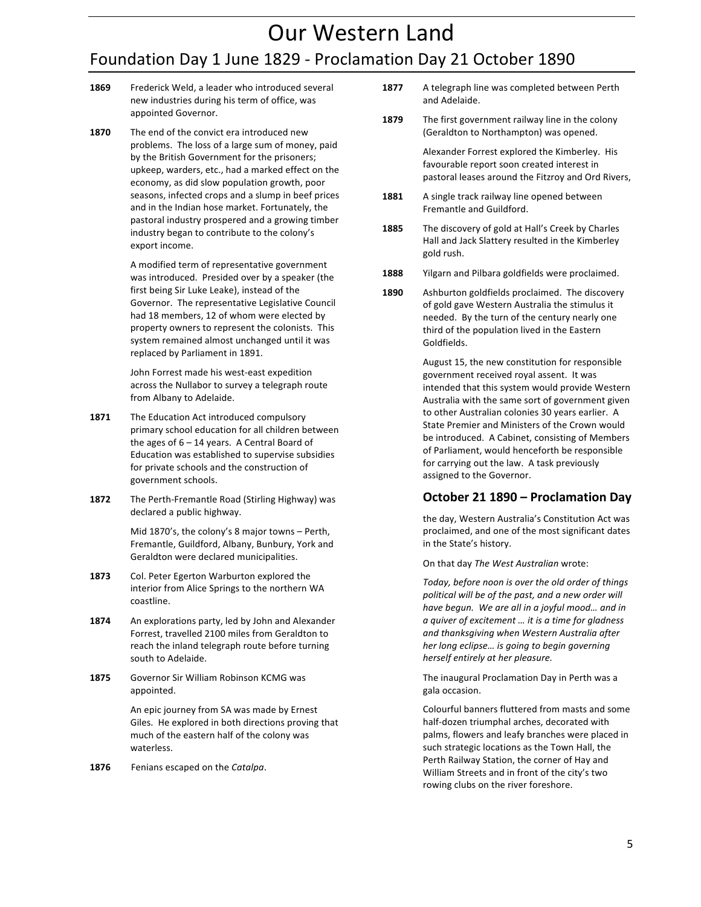# Our Western Land Foundation Day 1 June 1829 - Proclamation Day 21 October 1890

- 1869 Frederick Weld, a leader who introduced several new industries during his term of office, was appointed Governor.
- **1870** The end of the convict era introduced new problems. The loss of a large sum of money, paid by the British Government for the prisoners; upkeep, warders, etc., had a marked effect on the economy, as did slow population growth, poor seasons, infected crops and a slump in beef prices and in the Indian hose market. Fortunately, the pastoral industry prospered and a growing timber industry began to contribute to the colony's export income.

A modified term of representative government was introduced. Presided over by a speaker (the first being Sir Luke Leake), instead of the Governor. The representative Legislative Council had 18 members, 12 of whom were elected by property owners to represent the colonists. This system remained almost unchanged until it was replaced by Parliament in 1891.

John Forrest made his west-east expedition across the Nullabor to survey a telegraph route from Albany to Adelaide.

- **1871** The Education Act introduced compulsory primary school education for all children between the ages of  $6 - 14$  years. A Central Board of Education was established to supervise subsidies for private schools and the construction of government schools.
- 1872 The Perth-Fremantle Road (Stirling Highway) was declared a public highway.

Mid  $1870's$ , the colony's 8 major towns - Perth, Fremantle, Guildford, Albany, Bunbury, York and Geraldton were declared municipalities.

- **1873** Col. Peter Egerton Warburton explored the interior from Alice Springs to the northern WA coastline.
- **1874** An explorations party, led by John and Alexander Forrest, travelled 2100 miles from Geraldton to reach the inland telegraph route before turning south to Adelaide.
- **1875** Governor Sir William Robinson KCMG was appointed.

An epic journey from SA was made by Ernest Giles. He explored in both directions proving that much of the eastern half of the colony was waterless.

**1876** Fenians escaped on the *Catalpa*.

- 1877 A telegraph line was completed between Perth and Adelaide.
- **1879** The first government railway line in the colony (Geraldton to Northampton) was opened.

Alexander Forrest explored the Kimberley. His favourable report soon created interest in pastoral leases around the Fitzroy and Ord Rivers,

- **1881** A single track railway line opened between Fremantle and Guildford.
- **1885** The discovery of gold at Hall's Creek by Charles Hall and Jack Slattery resulted in the Kimberley gold rush.
- 1888 Yilgarn and Pilbara goldfields were proclaimed.
- **1890** Ashburton goldfields proclaimed. The discovery of gold gave Western Australia the stimulus it needed. By the turn of the century nearly one third of the population lived in the Eastern Goldfields.

August 15, the new constitution for responsible government received royal assent. It was intended that this system would provide Western Australia with the same sort of government given to other Australian colonies 30 years earlier. A State Premier and Ministers of the Crown would be introduced. A Cabinet, consisting of Members of Parliament, would henceforth be responsible for carrying out the law. A task previously assigned to the Governor.

#### **October 21 1890 – Proclamation Day**

the day, Western Australia's Constitution Act was proclaimed, and one of the most significant dates in the State's history.

On that day *The West Australian* wrote:

Today, before noon is over the old order of things political will be of the past, and a new order will have begun. We are all in a joyful mood... and in *a quiver of excitement … it is a time for gladness*  and thanksgiving when Western Australia after *her long eclipse... is going to begin governing herself entirely at her pleasure.* 

The inaugural Proclamation Day in Perth was a gala occasion.

Colourful banners fluttered from masts and some half-dozen triumphal arches, decorated with palms, flowers and leafy branches were placed in such strategic locations as the Town Hall, the Perth Railway Station, the corner of Hay and William Streets and in front of the city's two rowing clubs on the river foreshore.